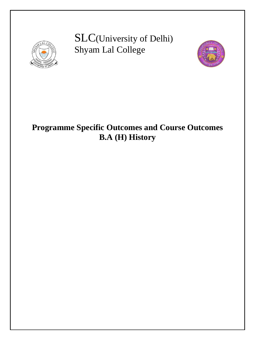

SLC(University of Delhi) Shyam Lal College



# **Programme Specific Outcomes and Course Outcomes B.A (H) History**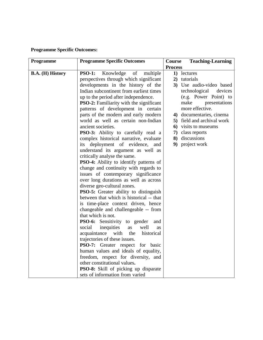# **Programme Specific Outcomes:**

| Programme        | <b>Programme Specific Outcomes</b>              | <b>Teaching-Learning</b><br>Course |
|------------------|-------------------------------------------------|------------------------------------|
|                  |                                                 | <b>Process</b>                     |
| B.A. (H) History | Knowledge<br>of<br>multiple<br><b>PSO-1:</b>    | 1) lectures                        |
|                  | perspectives through which significant          | 2) tutorials                       |
|                  | developments in the history of the              | 3) Use audio-video based           |
|                  | Indian subcontinent from earliest times         | technological<br>devices           |
|                  | up to the period after independence.            | (e.g. Power Point) to              |
|                  | <b>PSO-2:</b> Familiarity with the significant  | make<br>presentations              |
|                  | patterns of development in certain              | more effective.                    |
|                  | parts of the modern and early modern            | 4) documentaries, cinema           |
|                  | world as well as certain non-Indian             | 5) field and archival work         |
|                  | ancient societies.                              | 6) visits to museums               |
|                  | PSO-3: Ability to carefully read a              | class reports<br>7)                |
|                  | complex historical narrative, evaluate          | 8) discussions                     |
|                  | its deployment of evidence,<br>and              | 9) project work                    |
|                  | understand its argument as well as              |                                    |
|                  | critically analyse the same.                    |                                    |
|                  | <b>PSO-4:</b> Ability to identify patterns of   |                                    |
|                  | change and continuity with regards to           |                                    |
|                  | issues of contemporary significance             |                                    |
|                  | over long durations as well as across           |                                    |
|                  | diverse geo-cultural zones.                     |                                    |
|                  | <b>PSO-5:</b> Greater ability to distinguish    |                                    |
|                  | between that which is historical -- that        |                                    |
|                  | is time-place context driven, hence             |                                    |
|                  | changeable and challengeable -- from            |                                    |
|                  | that which is not.                              |                                    |
|                  | PSO-6: Sensitivity to gender<br>and             |                                    |
|                  | social<br>inequities<br>well<br>as<br><b>as</b> |                                    |
|                  | with<br>acquaintance<br>the<br>historical       |                                    |
|                  | trajectories of these issues.                   |                                    |
|                  | <b>PSO-7:</b> Greater respect for basic         |                                    |
|                  | human values and ideals of equality,            |                                    |
|                  | freedom, respect for diversity, and             |                                    |
|                  | other constitutional values.                    |                                    |
|                  | PSO-8: Skill of picking up disparate            |                                    |
|                  | sets of information from varied                 |                                    |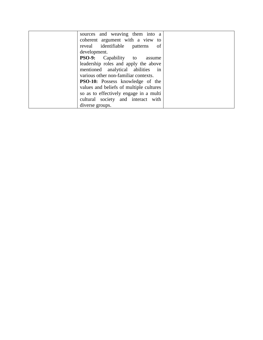| sources and weaving them into a         |  |
|-----------------------------------------|--|
| coherent argument with a view to        |  |
| reveal identifiable patterns of         |  |
| development.                            |  |
| <b>PSO-9:</b> Capability to assume      |  |
| leadership roles and apply the above    |  |
| mentioned analytical abilities in       |  |
| various other non-familiar contexts.    |  |
| <b>PSO-10:</b> Possess knowledge of the |  |
| values and beliefs of multiple cultures |  |
| so as to effectively engage in a multi  |  |
| cultural society and interact with      |  |
| diverse groups.                         |  |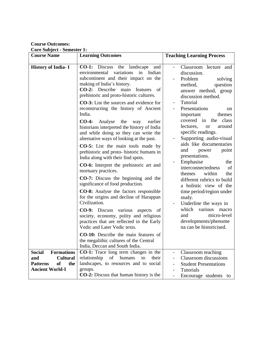**Course Outcomes:**

**Core Subject - Semester 1:**

| $\cos\theta$ babycer behinder 1.<br><b>Course Name</b>                                                                 | <b>Learning Outcomes</b>                                                                                                                                                                                                                                                                                                                                                                                                                                                                                                                                                                                                                                                                                                                                                                                                                                                                                                                                                                                                                                                                                                                                                                                                                            | <b>Teaching Learning Process</b>                                                                                                                                                                                                                                                                                                                                                                                                                                                                                                                                                                                                                                                                   |
|------------------------------------------------------------------------------------------------------------------------|-----------------------------------------------------------------------------------------------------------------------------------------------------------------------------------------------------------------------------------------------------------------------------------------------------------------------------------------------------------------------------------------------------------------------------------------------------------------------------------------------------------------------------------------------------------------------------------------------------------------------------------------------------------------------------------------------------------------------------------------------------------------------------------------------------------------------------------------------------------------------------------------------------------------------------------------------------------------------------------------------------------------------------------------------------------------------------------------------------------------------------------------------------------------------------------------------------------------------------------------------------|----------------------------------------------------------------------------------------------------------------------------------------------------------------------------------------------------------------------------------------------------------------------------------------------------------------------------------------------------------------------------------------------------------------------------------------------------------------------------------------------------------------------------------------------------------------------------------------------------------------------------------------------------------------------------------------------------|
| History of India- I                                                                                                    | CO-1: Discuss<br>the<br>landscape<br>and<br>variations<br>environmental<br>in<br>Indian<br>subcontinent and their impact on the<br>making of India's history.<br><b>CO-2:</b> Describe main<br>features<br>of<br>prehistoric and proto-historic cultures.<br><b>CO-3:</b> List the sources and evidence for<br>reconstructing the history of Ancient<br>India.<br>$CO-4:$<br>Analyse<br>the<br>earlier<br>way<br>historians interpreted the history of India<br>and while doing so they can write the<br>alternative ways of looking at the past.<br><b>CO-5:</b> List the main tools made by<br>prehistoric and proto- historic humans in<br>India along with their find spots.<br>CO-6: Interpret the prehistoric art and<br>mortuary practices.<br><b>CO-7:</b> Discuss the beginning and the<br>significance of food production.<br><b>CO-8:</b> Analyse the factors responsible<br>for the origins and decline of Harappan<br>Civilization.<br><b>CO-9:</b> Discuss various<br>aspects<br>of<br>society, economy, polity and religious<br>practices that are reflected in the Early<br>Vedic and Later Vedic texts.<br><b>CO-10:</b> Describe the main features of<br>the megalithic cultures of the Central<br>India, Deccan and South India. | Classroom lecture and<br>discussion.<br>Problem<br>solving<br>method,<br>question<br>answer method, group<br>discussion method.<br>Tutorial<br>Presentations<br><sub>on</sub><br>important<br>themes<br>covered in<br>the class<br>lectures,<br>around<br><b>or</b><br>specific readings.<br>Supporting audio-visual<br>aids like documentaries<br>and<br>power<br>point<br>presentations.<br>Emphasise<br>the<br>interconnectedness<br>of<br>within<br>themes<br>the<br>different rubrics to build<br>a holistic view of the<br>time period/region under<br>study.<br>Underline the ways in<br>which<br>various<br>macro<br>micro-level<br>and<br>developments/phenome<br>na can be historicised. |
| <b>Formations</b><br><b>Social</b><br><b>Cultural</b><br>and<br><b>Patterns</b><br>of<br>the<br><b>Ancient World-I</b> | CO-1: Trace long term changes in the<br>relationship<br>humans<br>of<br>to<br>their<br>landscapes, to resources and to social<br>groups.<br><b>CO-2:</b> Discuss that human history is the                                                                                                                                                                                                                                                                                                                                                                                                                                                                                                                                                                                                                                                                                                                                                                                                                                                                                                                                                                                                                                                          | Classroom teaching<br><b>Classroom</b> discussions<br><b>Student Presentations</b><br>Tutorials<br>Encourage students to<br>-                                                                                                                                                                                                                                                                                                                                                                                                                                                                                                                                                                      |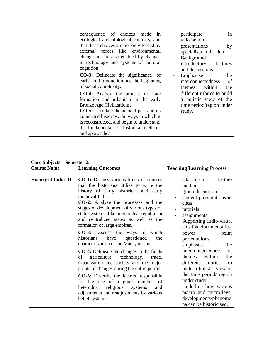| of choices<br>made<br>consequence<br>1n         | in<br>participate          |
|-------------------------------------------------|----------------------------|
| ecological and biological contexts, and         | talks/seminar              |
| that these choices are not only forced by       | presentations<br>by        |
| like environmental<br>external forces           | specialists in the field.  |
| change but are also enabled by changes          | Background                 |
| in technology and systems of cultural           | introductory<br>lectures   |
| cognition.                                      | and discussions.           |
| <b>CO-3:</b> Delineate the significance of      | Emphasise<br>the           |
| early food production and the beginning         | interconnectedness<br>of   |
| of social complexity.                           | within<br>the<br>themes    |
| <b>CO-4:</b> Analyse the process of state       | different rubrics to build |
| formation and urbanism in the early             | a holistic view of the     |
| Bronze Age Civilizations.                       | time period/region under   |
| <b>CO-5:</b> Correlate the ancient past and its | study.                     |
| connected histories, the ways in which it       |                            |
| is reconstructed, and begin to understand       |                            |
| the fundamentals of historical methods          |                            |
| and approaches.                                 |                            |

|  |  |  | <b>Core Subjects – Semester 2:</b> |  |
|--|--|--|------------------------------------|--|
|--|--|--|------------------------------------|--|

| $\cot \theta$ bubjects $\theta$ betheater $\theta$ .<br><b>Course Name</b> | <b>Learning Outcomes</b>                                                           | <b>Teaching Learning Process</b> |
|----------------------------------------------------------------------------|------------------------------------------------------------------------------------|----------------------------------|
|                                                                            |                                                                                    |                                  |
| <b>History of India-II</b>                                                 | CO-1: Discuss various kinds of sources<br>that the historians utilize to write the | Classroom<br>lecture<br>method   |
|                                                                            | history of early historical and early                                              | group discussion                 |
|                                                                            | medieval India.                                                                    | student presentations in         |
|                                                                            | <b>CO-2:</b> Analyse the processes and the                                         | class                            |
|                                                                            | stages of development of various types of                                          | tutorials                        |
|                                                                            | state systems like monarchy, republican                                            | assignments.                     |
|                                                                            | and centralized states as well as the                                              | Supporting audio-visual          |
|                                                                            | formation of large empires.                                                        | aids like documentaries          |
|                                                                            | <b>CO-3:</b> Discuss the ways in which                                             | point<br>power<br>$\blacksquare$ |
|                                                                            | historians<br>have<br>questioned<br>the                                            | presentations                    |
|                                                                            | characterization of the Mauryan state.                                             | emphasise<br>the                 |
|                                                                            | <b>CO-4:</b> Delineate the changes in the fields                                   | interconnectedness<br>of         |
|                                                                            | agriculture, technology,<br>of<br>trade,                                           | within<br>themes<br>the          |
|                                                                            | urbanization and society and the major                                             | rubrics<br>different<br>to       |
|                                                                            | points of changes during the entire period.                                        | build a holistic view of         |
|                                                                            | <b>CO-5:</b> Describe the factors responsible                                      | the time period/ region          |
|                                                                            | for the rise of a good number of                                                   | under study.                     |
|                                                                            | heterodox<br>religious<br>systems<br>and                                           | Underline how various<br>۰.      |
|                                                                            | adjustments and readjustments by various                                           | macro and micro-level            |
|                                                                            | belief systems.                                                                    | developments/phenome             |
|                                                                            |                                                                                    | na can be historicised.          |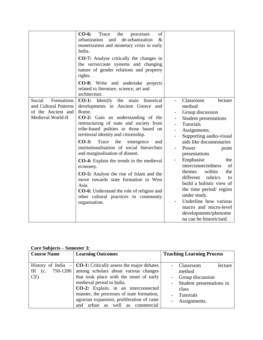|                                                                                          | of<br>$CO-6:$<br>Trace<br>the<br>processes<br>de-urbanization<br>urbanization<br>and<br>$\&$<br>monetization and monetary crisis in early<br>India.<br><b>CO-7:</b> Analyse critically the changes in<br>the varna/caste systems and changing<br>nature of gender relations and property<br>rights.<br><b>CO-8:</b> Write and undertake projects<br>related to literature, science, art and<br>architecture.                                                                                                                                                                                                                                                                       |                                                                                                                                                                                                                                                                                                                                                                                                                                                                                                                    |
|------------------------------------------------------------------------------------------|------------------------------------------------------------------------------------------------------------------------------------------------------------------------------------------------------------------------------------------------------------------------------------------------------------------------------------------------------------------------------------------------------------------------------------------------------------------------------------------------------------------------------------------------------------------------------------------------------------------------------------------------------------------------------------|--------------------------------------------------------------------------------------------------------------------------------------------------------------------------------------------------------------------------------------------------------------------------------------------------------------------------------------------------------------------------------------------------------------------------------------------------------------------------------------------------------------------|
| Social<br>Formations<br>and Cultural Patterns<br>of the Ancient and<br>Medieval World-II | <b>CO-1:</b> Identify the<br>historical<br>main<br>developments in Ancient Greece and<br>Rome.<br>CO-2: Gain an understanding of the<br>restructuring of state and society from<br>tribe-based polities to those based on<br>territorial identity and citizenship.<br>$CO-3:$<br>Trace<br>the<br>emergence<br>and<br>institutionalisation of social hierarchies<br>and marginalisation of dissent.<br><b>CO-4:</b> Explain the trends in the medieval<br>economy.<br><b>CO-5:</b> Analyse the rise of Islam and the<br>move towards state formation in West<br>Asia.<br><b>CO-6:</b> Understand the role of religion and<br>other cultural practices in community<br>organisation. | Classroom<br>lecture<br>method<br>Group discussion<br>Student presentations<br>Tutorials<br>$\overline{\phantom{a}}$<br>Assignments.<br>Supporting audio-visual<br>aids like documentaries<br>Power<br>point<br>presentations<br>Emphasise<br>the<br>interconnectedness<br>of<br>within<br>themes<br>the<br>different<br>rubrics<br>to<br>build a holistic view of<br>the time period/ region<br>under study.<br>Underline how various<br>macro and micro-level<br>developments/phenome<br>na can be historicised. |

## **Core Subjects – Semester 3:**

| <b>Course Name</b> | <b>Learning Outcomes</b>                                       | <b>Teaching Learning Process</b> |
|--------------------|----------------------------------------------------------------|----------------------------------|
|                    |                                                                |                                  |
|                    | History of India $-$ CO-1: Critically assess the major debates | Classroom<br>lecture             |
| $III$ (c.          | 750-1200   among scholars about various changes                | method                           |
| CE)                | that took place with the onset of early                        | Group discussion                 |
|                    | medieval period in India.                                      | Student presentations in         |
|                    | CO-2: Explain, in an interconnected                            | class                            |
|                    | manner, the processes of state formation,                      | <b>Tutorials</b>                 |
|                    | agrarian expansion, proliferation of caste                     | Assignments.                     |
|                    | urban as well as commercial<br>and                             |                                  |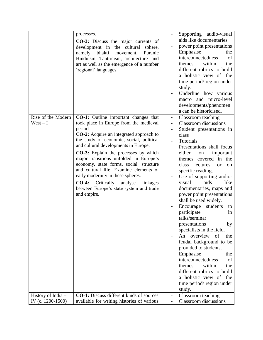|                                         | processes.<br><b>CO-3:</b> Discuss the major currents of<br>development in the cultural<br>sphere,<br>namely<br>bhakti<br>Puranic<br>movement,<br>Hinduism, Tantricism, architecture and<br>art as well as the emergence of a number<br>'regional' languages.                                                                                                                                                                                                                                                                                                      | Supporting audio-visual<br>aids like documentaries<br>power point presentations<br>Emphasise<br>the<br>of<br>interconnectedness<br>within<br>the<br>themes<br>different rubrics to build<br>a holistic view of the<br>time period/region under<br>study.<br>Underline how various<br>macro and micro-level<br>developments/phenomen<br>a can be historicised.                                                                                                                                                                                                                                                                                                                                                                                                                               |
|-----------------------------------------|--------------------------------------------------------------------------------------------------------------------------------------------------------------------------------------------------------------------------------------------------------------------------------------------------------------------------------------------------------------------------------------------------------------------------------------------------------------------------------------------------------------------------------------------------------------------|---------------------------------------------------------------------------------------------------------------------------------------------------------------------------------------------------------------------------------------------------------------------------------------------------------------------------------------------------------------------------------------------------------------------------------------------------------------------------------------------------------------------------------------------------------------------------------------------------------------------------------------------------------------------------------------------------------------------------------------------------------------------------------------------|
| Rise of the Modern<br>$West - I$        | <b>CO-1:</b> Outline important changes that<br>took place in Europe from the medieval<br>period.<br><b>CO-2:</b> Acquire an integrated approach to<br>the study of economic, social, political<br>and cultural developments in Europe.<br><b>CO-3:</b> Explain the processes by which<br>major transitions unfolded in Europe's<br>economy, state forms, social structure<br>and cultural life. Examine elements of<br>early modernity in these spheres.<br>$CO-4:$<br>Critically<br>analyse<br>linkages<br>between Europe's state system and trade<br>and empire. | Classroom teaching<br>۰<br><b>Classroom</b> discussions<br>Student presentations in<br>class<br>Tutorials.<br>Presentations shall focus<br>either<br>important<br>on<br>themes covered in<br>the<br>lectures,<br>class<br><b>or</b><br>on<br>specific readings.<br>Use of supporting audio-<br>visual<br>aids<br>like<br>documentaries, maps and<br>power point presentations<br>shall be used widely.<br>Encourage<br>students<br>to<br>participate<br>in<br>talks/seminar<br>presentations<br>by<br>specialists in the field.<br>overview<br>An<br>of<br>the<br>feudal background to be<br>provided to students.<br>Emphasise<br>the<br>interconnectedness<br>of<br>within<br>themes<br>the<br>different rubrics to build<br>a holistic view of the<br>time period/region under<br>study. |
| History of India -<br>IV (c. 1200-1500) | <b>CO-1:</b> Discuss different kinds of sources<br>available for writing histories of various                                                                                                                                                                                                                                                                                                                                                                                                                                                                      | Classroom teaching,<br>-<br>Classroom discussions                                                                                                                                                                                                                                                                                                                                                                                                                                                                                                                                                                                                                                                                                                                                           |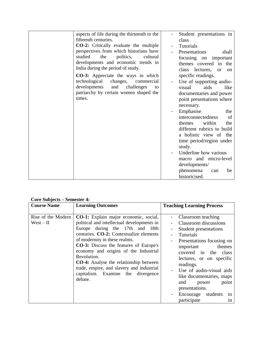| aspects of life during the thirteenth to the  | Student presentations in               |
|-----------------------------------------------|----------------------------------------|
| fifteenth centuries.                          | class                                  |
| <b>CO-2:</b> Critically evaluate the multiple | Tutorials                              |
| perspectives from which historians have       | Presentations<br>shall                 |
| studied<br>politics,<br>the<br>cultural       | focusing on important                  |
| developments and economic trends in           | themes covered in the                  |
| India during the period of study.             | class lectures,<br><sub>or</sub><br>on |
| <b>CO-3:</b> Appreciate the ways in which     | specific readings.                     |
| technological<br>changes,<br>commercial       | Use of supporting audio-               |
| developments<br>challenges<br>and<br>to       | aids<br>like<br>visual                 |
| patriarchy by certain women shaped the        | documentaries and power                |
| times.                                        | point presentations where              |
|                                               | necessary.                             |
|                                               |                                        |
|                                               | Emphasise<br>the                       |
|                                               | interconnectedness<br>of               |
|                                               | within<br>themes<br>the                |
|                                               | different rubrics to build             |
|                                               | a holistic view of the                 |
|                                               | time period/region under               |
|                                               | study.                                 |
|                                               | Underline how various                  |
|                                               | macro and micro-level                  |
|                                               | developments/                          |
|                                               | phenomena<br>be<br>can                 |
|                                               | historicised.                          |

#### **Core Subjects – Semester 4:**

| <b>Course Name</b>                | <b>Learning Outcomes</b>                                                                                                                                                                                                                                                                                                                                                                                                                                          | <b>Teaching Learning Process</b>                                                                                                                                                                                                                                                                                                                              |
|-----------------------------------|-------------------------------------------------------------------------------------------------------------------------------------------------------------------------------------------------------------------------------------------------------------------------------------------------------------------------------------------------------------------------------------------------------------------------------------------------------------------|---------------------------------------------------------------------------------------------------------------------------------------------------------------------------------------------------------------------------------------------------------------------------------------------------------------------------------------------------------------|
| Rise of the Modern<br>$West - II$ | <b>CO-1:</b> Explain major economic, social,<br>political and intellectual developments in<br>Europe during the 17th and 18th<br>centuries. CO-2: Contextualize elements<br>of modernity in these realms.<br><b>CO-3:</b> Discuss the features of Europe's<br>economy and origins of the Industrial<br>Revolution.<br><b>CO-4:</b> Analyse the relationship between<br>trade, empire, and slavery and industrial<br>capitalism. Examine the divergence<br>debate. | Classroom teaching<br>Classroom discussions<br>Student presentations<br>Tutorials<br>Presentations focusing on<br>themes<br>important<br>covered in the<br>class<br>lectures, or on specific<br>readings.<br>Use of audio-visual aids<br>like documentaries, maps<br>and<br>point<br>power<br>presentations.<br>Encourage students<br>to<br>participate<br>1n |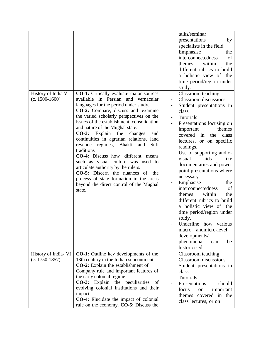|                                          |                                                                                                                                                                                                                                                                                                                                                                                                                                                                                                                                                                                                                                                                                                                 | talks/seminar<br>presentations<br>by<br>specialists in the field.<br>Emphasise<br>the<br>interconnectedness<br>of<br>within<br>the<br>themes<br>different rubrics to build<br>a holistic view of the<br>time period/region under<br>study.                                                                                                                                                                                                                                                                                                                                                                                                                   |
|------------------------------------------|-----------------------------------------------------------------------------------------------------------------------------------------------------------------------------------------------------------------------------------------------------------------------------------------------------------------------------------------------------------------------------------------------------------------------------------------------------------------------------------------------------------------------------------------------------------------------------------------------------------------------------------------------------------------------------------------------------------------|--------------------------------------------------------------------------------------------------------------------------------------------------------------------------------------------------------------------------------------------------------------------------------------------------------------------------------------------------------------------------------------------------------------------------------------------------------------------------------------------------------------------------------------------------------------------------------------------------------------------------------------------------------------|
| History of India V<br>$(c. 1500-1600)$   | <b>CO-1:</b> Critically evaluate major sources<br>available in Persian and vernacular<br>languages for the period under study.<br>CO-2: Compare, discuss and examine<br>the varied scholarly perspectives on the<br>issues of the establishment, consolidation<br>and nature of the Mughal state.<br>CO-3: Explain the<br>changes<br>and<br>continuities in agrarian relations, land<br>Bhakti<br>Sufi<br>revenue regimes,<br>and<br>traditions<br><b>CO-4:</b> Discuss how different means<br>such as visual culture was used to<br>articulate authority by the rulers.<br>CO-5: Discern the nuances of<br>the<br>process of state formation in the areas<br>beyond the direct control of the Mughal<br>state. | Classroom teaching<br>$\blacksquare$<br>Classroom discussions<br>Student presentations in<br>class<br>Tutorials<br>Presentations focusing on<br>themes<br>important<br>covered in the<br>class<br>lectures, or on specific<br>readings.<br>Use of supporting audio-<br>aids<br>like<br>visual<br>documentaries and power<br>point presentations where<br>necessary.<br>Emphasise<br>the<br>interconnectedness<br>of<br>themes<br>within<br>the<br>different rubrics to build<br>a holistic view of the<br>time period/region under<br>study.<br>Underline how various<br>andmicro-level<br>macro<br>developments/<br>phenomena<br>be<br>can<br>historicised. |
| History of India- VI<br>$(c. 1750-1857)$ | <b>CO-1:</b> Outline key developments of the<br>18th century in the Indian subcontinent.<br><b>CO-2:</b> Explain the establishment of<br>Company rule and important features of<br>the early colonial regime.<br>CO-3: Explain the peculiarities of<br>evolving colonial institutions and their<br>impact.<br><b>CO-4:</b> Elucidate the impact of colonial<br>rule on the economy. CO-5: Discuss the                                                                                                                                                                                                                                                                                                           | Classroom teaching,<br>$\overline{\phantom{a}}$<br><b>Classroom</b> discussions<br>Student presentations in<br>class<br>Tutorials<br>Presentations<br>should<br>focus<br>important<br>on<br>themes covered in the<br>class lectures, or on                                                                                                                                                                                                                                                                                                                                                                                                                   |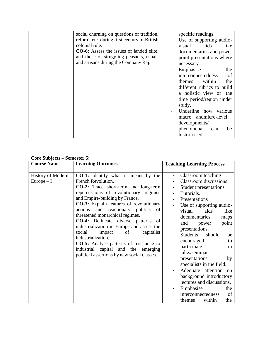| social churning on questions of tradition,      | specific readings.         |
|-------------------------------------------------|----------------------------|
| reform, etc. during first century of British    | Use of supporting audio-   |
| colonial rule.                                  | aids<br>visual<br>like     |
| <b>CO-6:</b> Assess the issues of landed elite, | documentaries and power    |
| and those of struggling peasants, tribals       | point presentations where  |
| and artisans during the Company Raj.            |                            |
|                                                 | necessary.                 |
|                                                 | Emphasise<br>the           |
|                                                 | interconnectedness<br>of   |
|                                                 | within<br>the<br>themes    |
|                                                 | different rubrics to build |
|                                                 | a holistic view of the     |
|                                                 |                            |
|                                                 | time period/region under   |
|                                                 | study.                     |
|                                                 | Underline how<br>various   |
|                                                 | macro andmicro-level       |
|                                                 | developments/              |
|                                                 |                            |
|                                                 | phenomena<br>be<br>can     |
|                                                 | historicised.              |

|  | <b>Core Subjects – Semester 5:</b> |  |
|--|------------------------------------|--|
|  |                                    |  |

| <b>Course Name</b>                       | <b>Learning Outcomes</b>                                                                                                                                                                                                                                                                                                                                                                                                                                                                                                                                                                                     | <b>Teaching Learning Process</b>                                                                                                                                                                                                                                                                                                                                                                                                                                                                                                                                         |
|------------------------------------------|--------------------------------------------------------------------------------------------------------------------------------------------------------------------------------------------------------------------------------------------------------------------------------------------------------------------------------------------------------------------------------------------------------------------------------------------------------------------------------------------------------------------------------------------------------------------------------------------------------------|--------------------------------------------------------------------------------------------------------------------------------------------------------------------------------------------------------------------------------------------------------------------------------------------------------------------------------------------------------------------------------------------------------------------------------------------------------------------------------------------------------------------------------------------------------------------------|
| <b>History of Modern</b><br>$Europe - I$ | <b>CO-1:</b> Identify what is meant by the<br>French Revolution.<br>CO-2: Trace short-term and long-term<br>repercussions of revolutionary regimes<br>and Empire-building by France.<br>CO-3: Explain features of revolutionary<br>and reactionary politics<br>actions<br>- of<br>threatened monarchical regimes.<br>CO-4: Delineate diverse patterns of<br>industrialization in Europe and assess the<br>social<br>impact<br>of<br>capitalist<br>industrialization.<br><b>CO-5:</b> Analyse patterns of resistance to<br>industrial capital and the emerging<br>political assertions by new social classes. | Classroom teaching<br>$\blacksquare$<br>Classroom discussions<br>Student presentations<br>$\blacksquare$<br>Tutorials.<br>Presentations<br>Use of supporting audio-<br>aids<br>visual<br>like<br>documentaries,<br>maps<br>and<br>point<br>power<br>presentations.<br>Students<br>should<br>be<br>encouraged<br>to<br>participate<br>in<br>talks/seminar<br>presentations<br>by<br>specialists in the field.<br>Adequate attention on<br>background introductory<br>lectures and discussions.<br>Emphasise<br>the<br>interconnectedness<br>of<br>within<br>the<br>themes |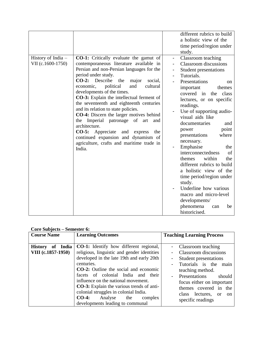| History of India -<br>VII (c.1600-1750) | <b>CO-1:</b> Critically evaluate the gamut of<br>contemporaneous literature available in<br>Persian and non-Persian languages for the<br>period under study.<br>$CO-2$ :<br>Describe<br>the<br>major<br>social,<br>political<br>cultural<br>economic,<br>and<br>developments of the times.<br><b>CO-3:</b> Explain the intellectual ferment of<br>the seventeenth and eighteenth centuries<br>and its relation to state policies.<br><b>CO-4:</b> Discern the larger motives behind<br>the Imperial patronage of<br>art<br>and<br>architecture.<br>Appreciate<br>$CO-5:$<br>the<br>and<br>express<br>continued expansion and dynamism of<br>agriculture, crafts and maritime trade in | different rubrics to build<br>a holistic view of the<br>time period/region under<br>study.<br>Classroom teaching<br>$\overline{\phantom{0}}$<br><b>Classroom</b> discussions<br>Student presentations<br>$\overline{\phantom{a}}$<br>Tutorials.<br>Presentations<br>on<br>important<br>themes<br>covered in<br>the<br>class<br>lectures, or on specific<br>readings.<br>Use of supporting audio-<br>visual aids like<br>documentaries<br>and<br>point<br>power<br>presentations<br>where<br>necessary.<br>the |
|-----------------------------------------|---------------------------------------------------------------------------------------------------------------------------------------------------------------------------------------------------------------------------------------------------------------------------------------------------------------------------------------------------------------------------------------------------------------------------------------------------------------------------------------------------------------------------------------------------------------------------------------------------------------------------------------------------------------------------------------|---------------------------------------------------------------------------------------------------------------------------------------------------------------------------------------------------------------------------------------------------------------------------------------------------------------------------------------------------------------------------------------------------------------------------------------------------------------------------------------------------------------|
|                                         | India.                                                                                                                                                                                                                                                                                                                                                                                                                                                                                                                                                                                                                                                                                | Emphasise<br>of<br>interconnectedness<br>within<br>the<br>themes<br>different rubrics to build<br>a holistic view of the<br>time period/region under<br>study.<br>Underline how various<br>macro and micro-level<br>developments/<br>phenomena<br>be<br>can<br>historicised.                                                                                                                                                                                                                                  |

#### **Core Subjects – Semester 6:**

| <b>Course Name</b>                     | <b>Learning Outcomes</b>                                                                                                                                                                                                                      | <b>Teaching Learning Process</b>                                                                                                               |
|----------------------------------------|-----------------------------------------------------------------------------------------------------------------------------------------------------------------------------------------------------------------------------------------------|------------------------------------------------------------------------------------------------------------------------------------------------|
|                                        |                                                                                                                                                                                                                                               |                                                                                                                                                |
| History of India<br>VIII (c.1857-1950) | <b>CO-1:</b> Identify how different regional,<br>religious, linguistic and gender identities<br>developed in the late 19th and early 20th<br>centuries.<br><b>CO-2:</b> Outline the social and economic<br>facets of colonial India and their | - Classroom teaching<br>Classroom discussions<br>Student presentations<br>Tutorials is the main<br>teaching method.<br>should<br>Presentations |
|                                        | influence on the national movement.<br><b>CO-3:</b> Explain the various trends of anti-<br>colonial struggles in colonial India.<br>$CO-4:$<br>Analyse the<br>complex<br>developments leading to communal                                     | focus either on important<br>themes covered in the<br>class lectures, or on<br>specific readings                                               |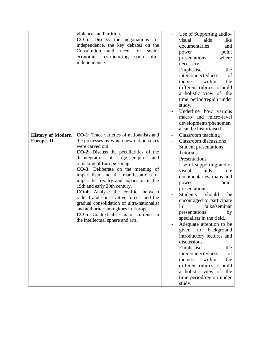|                                              | violence and Partition.<br><b>CO-5:</b> Discuss the negotiations<br>for<br>independence, the key debates on the<br>Constitution<br>and<br>need<br>for<br>socio-<br>economic<br>after<br>restructuring<br>soon<br>independence.                                                                                                                                                                                                                                                                                                                                                                                                                                   |                | Use of Supporting audio-<br>visual<br>aids<br>like<br>documentaries<br>and<br>point<br>power<br>presentations<br>where<br>necessary.<br>Emphasise<br>the<br>interconnectedness<br>of<br>within<br>the<br>themes<br>different rubrics to build<br>a holistic view of the<br>time period/region under<br>study.                                                                                                                                                                                                                                                                                                                                      |
|----------------------------------------------|------------------------------------------------------------------------------------------------------------------------------------------------------------------------------------------------------------------------------------------------------------------------------------------------------------------------------------------------------------------------------------------------------------------------------------------------------------------------------------------------------------------------------------------------------------------------------------------------------------------------------------------------------------------|----------------|----------------------------------------------------------------------------------------------------------------------------------------------------------------------------------------------------------------------------------------------------------------------------------------------------------------------------------------------------------------------------------------------------------------------------------------------------------------------------------------------------------------------------------------------------------------------------------------------------------------------------------------------------|
|                                              |                                                                                                                                                                                                                                                                                                                                                                                                                                                                                                                                                                                                                                                                  |                | Underline how various<br>macro and micro-level<br>developments/phenomen<br>a can be historicised.                                                                                                                                                                                                                                                                                                                                                                                                                                                                                                                                                  |
| <b>History of Modern</b><br><b>Europe-II</b> | CO-1: Trace varieties of nationalists and<br>the processes by which new nation-states<br>were carved out.<br><b>CO-2:</b> Discuss the peculiarities of the<br>disintegration of large empires<br>and<br>remaking of Europe's map.<br><b>CO-3:</b> Deliberate on the meaning of<br>imperialism and the manifestations of<br>imperialist rivalry and expansion in the<br>19th and early 20th century.<br>CO-4: Analyse the conflict between<br>radical and conservative forces, and the<br>gradual consolidation of ultra-nationalist<br>and authoritarian regimes in Europe.<br><b>CO-5:</b> Contextualise major currents in<br>the intellectual sphere and arts. | $\blacksquare$ | Classroom teaching<br>Classroom discussions<br>Student presentations<br>Tutorials.<br>Presentations<br>Use of supporting audio-<br>visual<br>aids<br>like<br>documentaries, maps and<br>power<br>point<br>presentations.<br><b>Students</b><br>should<br>be<br>encouraged to participate<br>talks/seminar<br>in<br>presentations<br>by<br>specialists in the field.<br>Adequate attention to be<br>given<br>background<br>to<br>introductory lectures and<br>discussions.<br>Emphasise<br>the<br>interconnectedness<br>of<br>within<br>the<br>themes<br>different rubrics to build<br>a holistic view of the<br>time period/region under<br>study. |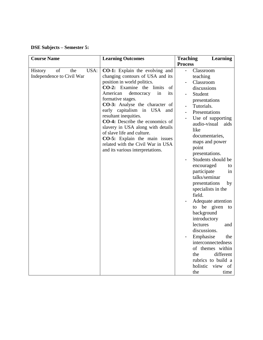# **DSE Subjects – Semester 5:**

| <b>Course Name</b>                                               | <b>Learning Outcomes</b>                                                                                                                                                                                                                                                                                                                                                                                                                                                                                                  | <b>Teaching</b><br><b>Learning</b>                                                                                                                                                                                                                                                                                                                                                                                                                                                                                                                                                                                                                               |
|------------------------------------------------------------------|---------------------------------------------------------------------------------------------------------------------------------------------------------------------------------------------------------------------------------------------------------------------------------------------------------------------------------------------------------------------------------------------------------------------------------------------------------------------------------------------------------------------------|------------------------------------------------------------------------------------------------------------------------------------------------------------------------------------------------------------------------------------------------------------------------------------------------------------------------------------------------------------------------------------------------------------------------------------------------------------------------------------------------------------------------------------------------------------------------------------------------------------------------------------------------------------------|
|                                                                  |                                                                                                                                                                                                                                                                                                                                                                                                                                                                                                                           | <b>Process</b>                                                                                                                                                                                                                                                                                                                                                                                                                                                                                                                                                                                                                                                   |
| USA:<br>of<br><b>History</b><br>the<br>Independence to Civil War | <b>CO-1:</b> Explain the evolving and<br>changing contours of USA and its<br>position in world politics.<br>CO-2: Examine the limits<br>of<br>American<br>in<br>its<br>democracy<br>formative stages.<br>CO-3: Analyse the character of<br>early capitalism in USA<br>and<br>resultant inequities.<br>CO-4: Describe the economics of<br>slavery in USA along with details<br>of slave life and culture.<br><b>CO-5:</b> Explain the main issues<br>related with the Civil War in USA<br>and its various interpretations. | Classroom<br>teaching<br>Classroom<br>discussions<br>Student<br>presentations<br>Tutorials.<br>Presentations<br>$\overline{\phantom{a}}$<br>Use of supporting<br>aids<br>audio-visual<br>like<br>documentaries,<br>maps and power<br>point<br>presentations.<br>Students should be<br>encouraged<br>to<br>participate<br>in<br>talks/seminar<br>presentations<br>by<br>specialists in the<br>field.<br>Adequate attention<br>to be given<br>to<br>background<br>introductory<br>lectures<br>and<br>discussions.<br>Emphasise<br>the<br>interconnectedness<br>of themes within<br>different<br>the<br>rubrics to build a<br>holistic<br>view<br>of<br>the<br>time |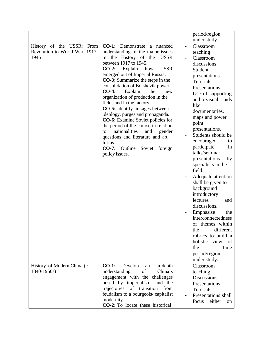| USSR:<br>History of the<br>From<br>Revolution to World War. 1917-<br>1945 | $CO-1$ :<br>Demonstrate<br>a nuanced<br>understanding of the major issues<br>the History of the<br><b>USSR</b><br>in<br>between 1917 to 1945.<br>$CO-2$ :<br>Explain<br><b>USSR</b><br>how<br>emerged out of Imperial Russia.<br><b>CO-3:</b> Summarize the steps in the<br>consolidation of Bolshevik power.<br>$CO-4:$<br>Explain<br>the<br>new<br>organization of production in the<br>fields and in the factory.<br><b>CO-5:</b> Identify linkages between<br>ideology, purges and propaganda.<br><b>CO-6:</b> Examine Soviet policies for<br>the period of the course in relation<br>nationalities<br>and<br>gender<br>to<br>questions and literature and art<br>forms. | period/region<br>under study.<br>Classroom<br>teaching<br>Classroom<br>discussions<br>Student<br>presentations<br>Tutorials.<br>Presentations<br>Use of supporting<br>audio-visual<br>aids<br>like<br>documentaries,<br>maps and power<br>point<br>presentations.<br>Students should be |
|---------------------------------------------------------------------------|------------------------------------------------------------------------------------------------------------------------------------------------------------------------------------------------------------------------------------------------------------------------------------------------------------------------------------------------------------------------------------------------------------------------------------------------------------------------------------------------------------------------------------------------------------------------------------------------------------------------------------------------------------------------------|-----------------------------------------------------------------------------------------------------------------------------------------------------------------------------------------------------------------------------------------------------------------------------------------|
|                                                                           |                                                                                                                                                                                                                                                                                                                                                                                                                                                                                                                                                                                                                                                                              |                                                                                                                                                                                                                                                                                         |
|                                                                           |                                                                                                                                                                                                                                                                                                                                                                                                                                                                                                                                                                                                                                                                              |                                                                                                                                                                                                                                                                                         |
|                                                                           |                                                                                                                                                                                                                                                                                                                                                                                                                                                                                                                                                                                                                                                                              |                                                                                                                                                                                                                                                                                         |
|                                                                           |                                                                                                                                                                                                                                                                                                                                                                                                                                                                                                                                                                                                                                                                              |                                                                                                                                                                                                                                                                                         |
|                                                                           |                                                                                                                                                                                                                                                                                                                                                                                                                                                                                                                                                                                                                                                                              |                                                                                                                                                                                                                                                                                         |
|                                                                           |                                                                                                                                                                                                                                                                                                                                                                                                                                                                                                                                                                                                                                                                              |                                                                                                                                                                                                                                                                                         |
|                                                                           |                                                                                                                                                                                                                                                                                                                                                                                                                                                                                                                                                                                                                                                                              |                                                                                                                                                                                                                                                                                         |
|                                                                           |                                                                                                                                                                                                                                                                                                                                                                                                                                                                                                                                                                                                                                                                              |                                                                                                                                                                                                                                                                                         |
|                                                                           |                                                                                                                                                                                                                                                                                                                                                                                                                                                                                                                                                                                                                                                                              |                                                                                                                                                                                                                                                                                         |
|                                                                           |                                                                                                                                                                                                                                                                                                                                                                                                                                                                                                                                                                                                                                                                              |                                                                                                                                                                                                                                                                                         |
|                                                                           |                                                                                                                                                                                                                                                                                                                                                                                                                                                                                                                                                                                                                                                                              |                                                                                                                                                                                                                                                                                         |
|                                                                           |                                                                                                                                                                                                                                                                                                                                                                                                                                                                                                                                                                                                                                                                              |                                                                                                                                                                                                                                                                                         |
|                                                                           |                                                                                                                                                                                                                                                                                                                                                                                                                                                                                                                                                                                                                                                                              |                                                                                                                                                                                                                                                                                         |
|                                                                           |                                                                                                                                                                                                                                                                                                                                                                                                                                                                                                                                                                                                                                                                              |                                                                                                                                                                                                                                                                                         |
|                                                                           |                                                                                                                                                                                                                                                                                                                                                                                                                                                                                                                                                                                                                                                                              |                                                                                                                                                                                                                                                                                         |
|                                                                           |                                                                                                                                                                                                                                                                                                                                                                                                                                                                                                                                                                                                                                                                              |                                                                                                                                                                                                                                                                                         |
|                                                                           |                                                                                                                                                                                                                                                                                                                                                                                                                                                                                                                                                                                                                                                                              |                                                                                                                                                                                                                                                                                         |
|                                                                           |                                                                                                                                                                                                                                                                                                                                                                                                                                                                                                                                                                                                                                                                              | encouraged<br>to                                                                                                                                                                                                                                                                        |
|                                                                           | $CO-7:$<br>Outline<br>Soviet<br>foreign                                                                                                                                                                                                                                                                                                                                                                                                                                                                                                                                                                                                                                      | participate<br>in                                                                                                                                                                                                                                                                       |
|                                                                           | policy issues.                                                                                                                                                                                                                                                                                                                                                                                                                                                                                                                                                                                                                                                               | talks/seminar                                                                                                                                                                                                                                                                           |
|                                                                           |                                                                                                                                                                                                                                                                                                                                                                                                                                                                                                                                                                                                                                                                              | presentations<br>by                                                                                                                                                                                                                                                                     |
|                                                                           |                                                                                                                                                                                                                                                                                                                                                                                                                                                                                                                                                                                                                                                                              | specialists in the                                                                                                                                                                                                                                                                      |
|                                                                           |                                                                                                                                                                                                                                                                                                                                                                                                                                                                                                                                                                                                                                                                              | field.                                                                                                                                                                                                                                                                                  |
|                                                                           |                                                                                                                                                                                                                                                                                                                                                                                                                                                                                                                                                                                                                                                                              | Adequate attention                                                                                                                                                                                                                                                                      |
|                                                                           |                                                                                                                                                                                                                                                                                                                                                                                                                                                                                                                                                                                                                                                                              | shall be given to                                                                                                                                                                                                                                                                       |
|                                                                           |                                                                                                                                                                                                                                                                                                                                                                                                                                                                                                                                                                                                                                                                              | background                                                                                                                                                                                                                                                                              |
|                                                                           |                                                                                                                                                                                                                                                                                                                                                                                                                                                                                                                                                                                                                                                                              | introductory                                                                                                                                                                                                                                                                            |
|                                                                           |                                                                                                                                                                                                                                                                                                                                                                                                                                                                                                                                                                                                                                                                              | lectures<br>and                                                                                                                                                                                                                                                                         |
|                                                                           |                                                                                                                                                                                                                                                                                                                                                                                                                                                                                                                                                                                                                                                                              | discussions.                                                                                                                                                                                                                                                                            |
|                                                                           |                                                                                                                                                                                                                                                                                                                                                                                                                                                                                                                                                                                                                                                                              | Emphasise<br>the                                                                                                                                                                                                                                                                        |
|                                                                           |                                                                                                                                                                                                                                                                                                                                                                                                                                                                                                                                                                                                                                                                              | interconnectedness                                                                                                                                                                                                                                                                      |
|                                                                           |                                                                                                                                                                                                                                                                                                                                                                                                                                                                                                                                                                                                                                                                              | of themes within                                                                                                                                                                                                                                                                        |
|                                                                           |                                                                                                                                                                                                                                                                                                                                                                                                                                                                                                                                                                                                                                                                              | different<br>the                                                                                                                                                                                                                                                                        |
|                                                                           |                                                                                                                                                                                                                                                                                                                                                                                                                                                                                                                                                                                                                                                                              | rubrics to build a                                                                                                                                                                                                                                                                      |
|                                                                           |                                                                                                                                                                                                                                                                                                                                                                                                                                                                                                                                                                                                                                                                              | holistic view<br>of                                                                                                                                                                                                                                                                     |
|                                                                           |                                                                                                                                                                                                                                                                                                                                                                                                                                                                                                                                                                                                                                                                              | the<br>time                                                                                                                                                                                                                                                                             |
|                                                                           |                                                                                                                                                                                                                                                                                                                                                                                                                                                                                                                                                                                                                                                                              | period/region                                                                                                                                                                                                                                                                           |
|                                                                           |                                                                                                                                                                                                                                                                                                                                                                                                                                                                                                                                                                                                                                                                              | under study.                                                                                                                                                                                                                                                                            |
| History of Modern China (c.                                               | $CO-1:$<br>Develop<br>in-depth<br>an                                                                                                                                                                                                                                                                                                                                                                                                                                                                                                                                                                                                                                         | Classroom                                                                                                                                                                                                                                                                               |
|                                                                           |                                                                                                                                                                                                                                                                                                                                                                                                                                                                                                                                                                                                                                                                              |                                                                                                                                                                                                                                                                                         |
|                                                                           |                                                                                                                                                                                                                                                                                                                                                                                                                                                                                                                                                                                                                                                                              |                                                                                                                                                                                                                                                                                         |
|                                                                           |                                                                                                                                                                                                                                                                                                                                                                                                                                                                                                                                                                                                                                                                              |                                                                                                                                                                                                                                                                                         |
|                                                                           |                                                                                                                                                                                                                                                                                                                                                                                                                                                                                                                                                                                                                                                                              |                                                                                                                                                                                                                                                                                         |
|                                                                           |                                                                                                                                                                                                                                                                                                                                                                                                                                                                                                                                                                                                                                                                              |                                                                                                                                                                                                                                                                                         |
|                                                                           | <b>CO-2:</b> To locate these historical                                                                                                                                                                                                                                                                                                                                                                                                                                                                                                                                                                                                                                      | on                                                                                                                                                                                                                                                                                      |
| 1840-1950s)                                                               | of<br>China's<br>understanding<br>engagement with the challenges<br>posed by imperialism, and the<br>trajectories of transition<br>from<br>feudalism to a bourgeois/ capitalist<br>modernity.                                                                                                                                                                                                                                                                                                                                                                                                                                                                                | teaching<br><b>Discussions</b><br>Presentations<br>Tutorials.<br>Presentations shall<br>focus<br>either                                                                                                                                                                                 |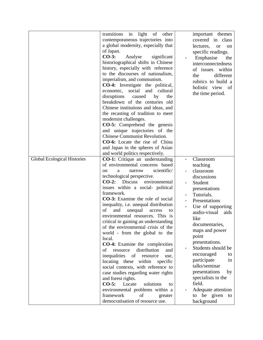|                                    | transitions in<br>light of other           | important themes             |
|------------------------------------|--------------------------------------------|------------------------------|
|                                    | contemporaneous trajectories into          | covered in class             |
|                                    | a global modernity, especially that        |                              |
|                                    |                                            | lectures,<br><b>or</b><br>on |
|                                    | of Japan.<br>$CO-3:$                       | specific readings.           |
|                                    | Analyse<br>significant                     | Emphasise<br>the             |
|                                    | historiographical shifts in Chinese        | interconnectedness           |
|                                    | history, especially with reference         | within<br>of issues          |
|                                    | to the discourses of nationalism,          | different<br>the             |
|                                    | imperialism, and communism.                | rubrics to build a           |
|                                    | <b>CO-4:</b> Investigate the political,    | holistic view<br>of          |
|                                    | economic, social and cultural              | the time period.             |
|                                    | disruptions<br>caused<br>by<br>the         |                              |
|                                    | breakdown of the centuries old             |                              |
|                                    | Chinese institutions and ideas, and        |                              |
|                                    | the recasting of tradition to meet         |                              |
|                                    | modernist challenges.                      |                              |
|                                    | <b>CO-5:</b> Comprehend the genesis        |                              |
|                                    | and unique trajectories of the             |                              |
|                                    | <b>Chinese Communist Revolution.</b>       |                              |
|                                    | <b>CO-6:</b> Locate the rise of China      |                              |
|                                    | and Japan in the spheres of Asian          |                              |
|                                    |                                            |                              |
|                                    | and world politics respectively.           |                              |
| <b>Global Ecological Histories</b> | <b>CO-1:</b> Critique an understanding     | Classroom                    |
|                                    | of environmental concerns based            | teaching                     |
|                                    | scientific/<br>on<br>a<br>narrow           | classroom                    |
|                                    | technological perspective.                 | discussions                  |
|                                    | $CO-2:$<br><b>Discuss</b><br>environmental | Student                      |
|                                    | issues within a social- political          | presentations                |
|                                    | framework.                                 | Tutorials.                   |
|                                    | <b>CO-3:</b> Examine the role of social    | Presentations                |
|                                    | inequality, i.e. unequal distribution      | Use of supporting            |
|                                    | of<br>and<br>unequal<br>access<br>to       | audio-visual<br>aids         |
|                                    | environmental resources. This is           | like                         |
|                                    | critical in gaining an understanding       |                              |
|                                    | of the environmental crisis of the         | documentaries,               |
|                                    | world - from the global to the             | maps and power               |
|                                    | local.                                     | point                        |
|                                    | <b>CO-4:</b> Examine the complexities      | presentations.               |
|                                    | distribution<br>resource<br>of<br>and      | Students should be           |
|                                    | inequalities<br>of<br>resource<br>use,     | encouraged<br>to             |
|                                    | locating these<br>within<br>specific       | participate<br>in            |
|                                    | social contexts, with reference to         | talks/seminar                |
|                                    | case studies regarding water rights        | presentations<br>by          |
|                                    | and forest rights.                         | specialists in the           |
|                                    | $CO-5:$<br>Locate<br>solutions<br>to       | field.                       |
|                                    |                                            |                              |
|                                    | environmental problems within a            | Adequate attention           |
|                                    | framework<br>οf<br>greater                 | to be given<br>to            |
|                                    | democratisation of resource use.           | background                   |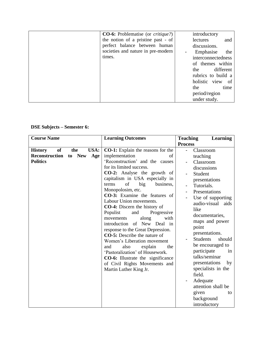| <b>CO-6:</b> Problematise (or <i>critique?</i> ) | introductory       |           |
|--------------------------------------------------|--------------------|-----------|
| the notion of a pristine past - of               | lectures           | and       |
| perfect balance between human                    | discussions.       |           |
| societies and nature in pre-modern               | Emphasise          | the       |
| times.                                           | interconnectedness |           |
|                                                  | of themes within   |           |
|                                                  | the                | different |
|                                                  | rubrics to build a |           |
|                                                  | holistic view      | - of      |
|                                                  | the                | time      |
|                                                  | period/region      |           |
|                                                  | under study.       |           |

## **DSE Subjects – Semester 6:**

| <b>Course Name</b>                                                                                  | <b>Learning Outcomes</b>                                                                                                                                                                                                                                                                                                                                                                                                                                                                                                                                                                                                                                                                                                                    | <b>Teaching</b><br><b>Learning</b>                                                                                                                                                                                                                                                                                                                                                                                                                                  |
|-----------------------------------------------------------------------------------------------------|---------------------------------------------------------------------------------------------------------------------------------------------------------------------------------------------------------------------------------------------------------------------------------------------------------------------------------------------------------------------------------------------------------------------------------------------------------------------------------------------------------------------------------------------------------------------------------------------------------------------------------------------------------------------------------------------------------------------------------------------|---------------------------------------------------------------------------------------------------------------------------------------------------------------------------------------------------------------------------------------------------------------------------------------------------------------------------------------------------------------------------------------------------------------------------------------------------------------------|
|                                                                                                     |                                                                                                                                                                                                                                                                                                                                                                                                                                                                                                                                                                                                                                                                                                                                             | <b>Process</b>                                                                                                                                                                                                                                                                                                                                                                                                                                                      |
| of<br>USA:<br>the<br><b>History</b><br><b>Reconstruction</b><br><b>New</b><br>to<br><b>Politics</b> | <b>CO-1:</b> Explain the reasons for the<br>implementation<br>Age<br>'Reconstruction' and the causes<br>for its limited success.<br><b>CO-2:</b> Analyse the growth of<br>capitalism in USA especially in<br>terms<br>of<br>big<br>business,<br>Monopolosim, etc.<br>CO-3: Examine the features of<br>Labour Union movements.<br>CO-4: Discern the history of<br>Populist<br>and<br>Progressive<br>with<br>movements<br>along<br>introduction of New Deal in<br>response to the Great Depression.<br><b>CO-5:</b> Describe the nature of<br>Women's Liberation movement<br>also<br>and<br>explain<br>the<br>'Pastoralization' of Housework.<br>CO-6: Illustrate the significance<br>of Civil Rights Movements and<br>Martin Luther King Jr. | Classroom<br>teaching<br>of<br>Classroom<br>discussions<br>Student<br>presentations<br>Tutorials.<br>Presentations<br>Use of supporting<br>audio-visual<br>aids<br>like<br>documentaries,<br>maps and power<br>point<br>presentations.<br><b>Students</b><br>should<br>be encouraged to<br>participate<br>in<br>talks/seminar<br>presentations<br>by<br>specialists in the<br>field.<br>Adequate<br>attention shall be<br>given<br>to<br>background<br>introductory |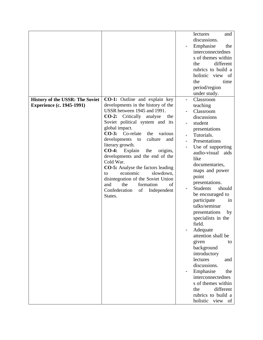|                                        |                                          | lectures<br>and           |
|----------------------------------------|------------------------------------------|---------------------------|
|                                        |                                          | discussions.              |
|                                        |                                          | Emphasise<br>the          |
|                                        |                                          | interconnectednes         |
|                                        |                                          | s of themes within        |
|                                        |                                          | different<br>the          |
|                                        |                                          | rubrics to build a        |
|                                        |                                          | holistic view of          |
|                                        |                                          | the<br>time               |
|                                        |                                          |                           |
|                                        |                                          | period/region             |
|                                        |                                          | under study.              |
| <b>History of the USSR: The Soviet</b> | <b>CO-1:</b> Outline and explain key     | Classroom                 |
| <b>Experience (c. 1945-1991)</b>       | developments in the history of the       | teaching                  |
|                                        | USSR between 1945 and 1991.              | Classroom                 |
|                                        | CO-2: Critically analyse<br>the          | discussions               |
|                                        | Soviet political system and its          | student                   |
|                                        | global impact.                           | presentations             |
|                                        | $CO-3:$<br>Co-relate<br>the<br>various   | Tutorials.                |
|                                        | developments<br>culture<br>to<br>and     | Presentations             |
|                                        | literary growth.                         | Use of supporting         |
|                                        | $CO-4:$<br>Explain<br>the<br>origins,    | audio-visual<br>aids      |
|                                        | developments and the end of the          | like                      |
|                                        | Cold War.                                | documentaries,            |
|                                        | <b>CO-5:</b> Analyse the factors leading | maps and power            |
|                                        | economic<br>slowdown,<br>to              | point                     |
|                                        | disintegration of the Soviet Union       | presentations.            |
|                                        | the<br>formation<br>of<br>and            | <b>Students</b><br>should |
|                                        | Confederation<br>Independent<br>of       | be encouraged to          |
|                                        | States.                                  | participate<br>in         |
|                                        |                                          | talks/seminar             |
|                                        |                                          | presentations             |
|                                        |                                          | by                        |
|                                        |                                          | specialists in the        |
|                                        |                                          | field.                    |
|                                        |                                          | Adequate                  |
|                                        |                                          | attention shall be        |
|                                        |                                          | given<br>to               |
|                                        |                                          | background                |
|                                        |                                          | introductory              |
|                                        |                                          | lectures<br>and           |
|                                        |                                          | discussions.              |
|                                        |                                          | Emphasise<br>the          |
|                                        |                                          | interconnectednes         |
|                                        |                                          | s of themes within        |
|                                        |                                          | different<br>the          |
|                                        |                                          | rubrics to build a        |
|                                        |                                          | holistic<br>view<br>of    |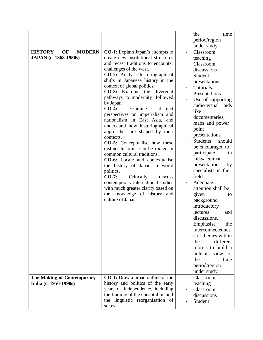|                                              |                                          | time<br>the                                 |    |
|----------------------------------------------|------------------------------------------|---------------------------------------------|----|
|                                              |                                          | period/region                               |    |
|                                              |                                          | under study.                                |    |
| <b>HISTORY</b><br><b>MODERN</b><br><b>OF</b> | <b>CO-1:</b> Explain Japan's attempts to | Classroom<br>$\overline{\phantom{a}}$       |    |
| JAPAN (c. 1868-1950s)                        | create new institutional structures      | teaching                                    |    |
|                                              | and recast traditions to encounter       | Classroom                                   |    |
|                                              | challenges of the west.                  | discussions                                 |    |
|                                              | <b>CO-2:</b> Analyse historiographical   | Student                                     |    |
|                                              | shifts in Japanese history in the        | presentations                               |    |
|                                              | context of global politics.              | Tutorials.                                  |    |
|                                              | CO-3: Examine the<br>divergent           | Presentations                               |    |
|                                              | pathways to modernity<br>followed        | Use of supporting                           |    |
|                                              | by Japan.                                | audio-visual aids                           |    |
|                                              | $CO-4:$<br>Examine<br>distinct           | like                                        |    |
|                                              | perspectives on imperialism and          | documentaries,                              |    |
|                                              | nationalism in East Asia, and            | maps and power                              |    |
|                                              | understand how historiographical         | point                                       |    |
|                                              | approaches are shaped by their           |                                             |    |
|                                              | contexts.                                | presentations.<br><b>Students</b><br>should |    |
|                                              | <b>CO-5:</b> Conceptualise how these     |                                             |    |
|                                              | distinct histories can be rooted in      | be encouraged to                            |    |
|                                              | common cultural traditions.              | participate                                 | 1n |
|                                              | <b>CO-6:</b> Locate and contextualise    | talks/seminar                               |    |
|                                              | the history of Japan in world            | presentations                               | by |
|                                              | politics.                                | specialists in the                          |    |
|                                              | $CO-7:$<br>Critically<br>discuss         | field.                                      |    |
|                                              | contemporary international studies       | Adequate                                    |    |
|                                              | with much greater clarity based on       | attention shall be                          |    |
|                                              | the knowledge of history and             | given                                       | to |
|                                              | culture of Japan.                        | background                                  |    |
|                                              |                                          | introductory                                |    |
|                                              |                                          | lectures<br>and                             |    |
|                                              |                                          | discussions.                                |    |
|                                              |                                          | Emphasise<br>the                            |    |
|                                              |                                          | interconnectednes                           |    |
|                                              |                                          | s of themes within                          |    |
|                                              |                                          | different<br>the                            |    |
|                                              |                                          | rubrics to build a                          |    |
|                                              |                                          | holistic view of                            |    |
|                                              |                                          | the<br>time                                 |    |
|                                              |                                          | period/region                               |    |
|                                              |                                          | under study.                                |    |
| The Making of Contemporary                   | <b>CO-1:</b> Draw a broad outline of the | Classroom                                   |    |
| India (c. 1950-1990s)                        | history and politics of the early        | teaching                                    |    |
|                                              | years of Independence, including         | Classroom                                   |    |
|                                              | the framing of the constitution and      | discussions                                 |    |
|                                              | the linguistic reorganisation of         | Student                                     |    |
|                                              | states.                                  |                                             |    |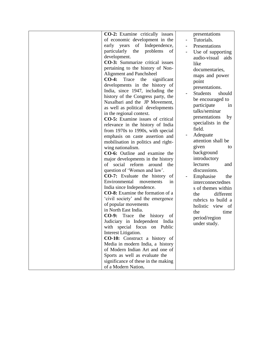| <b>CO-2:</b> Examine critically issues  |                | presentations             |
|-----------------------------------------|----------------|---------------------------|
| of economic development in the          |                | Tutorials.                |
| Independence,<br>early years<br>of      | $\blacksquare$ | Presentations             |
| particularly<br>the<br>problems<br>of   |                | Use of supporting         |
| development.                            |                | audio-visual aids         |
| <b>CO-3:</b> Summarize critical issues  |                | like                      |
| pertaining to the history of Non-       |                | documentaries,            |
| <b>Alignment and Panchsheel</b>         |                | maps and power            |
| $CO-4:$<br>significant<br>Trace<br>the  |                | point                     |
| developments in the history of          |                |                           |
| India, since 1947, including the        |                | presentations.            |
| history of the Congress party, the      |                | <b>Students</b><br>should |
| Naxalbari and the JP Movement,          |                | be encouraged to          |
| as well as political developments       |                | participate<br>in         |
| in the regional context.                |                | talks/seminar             |
| <b>CO-5:</b> Examine issues of critical |                | presentations<br>by       |
| relevance in the history of India       |                | specialists in the        |
| from 1970s to 1990s, with special       |                | field.                    |
| emphasis on caste assertion and         |                | Adequate                  |
| mobilisation in politics and right-     |                | attention shall be        |
| wing nationalism.                       |                | given<br>to               |
| CO-6: Outline and examine the           |                | background                |
| major developments in the history       |                | introductory              |
| of social reform<br>around<br>the       |                | lectures<br>and           |
| question of 'Women and law'.            |                | discussions.              |
|                                         |                |                           |
| <b>CO-7:</b> Evaluate the history<br>of |                | Emphasise<br>the          |
| Environmental<br>movements<br>in.       |                | interconnectednes         |
| India since Independence.               |                | s of themes within        |
| <b>CO-8:</b> Examine the formation of a |                | different<br>the          |
| 'civil society' and the emergence       |                | rubrics to build a        |
| of popular movements                    |                | holistic view of          |
| in North East India.                    |                | the<br>time               |
| $CO-9:$<br>Trace the<br>history<br>of   |                | period/region             |
| Judiciary in Independent India          |                | under study.              |
| with special focus on Public            |                |                           |
| Interest Litigation.                    |                |                           |
| <b>CO-10:</b> Construct a history of    |                |                           |
| Media in modern India, a history        |                |                           |
| of Modern Indian Art and one of         |                |                           |
| Sports as well as evaluate the          |                |                           |
| significance of these in the making     |                |                           |
| of a Modern Nation.                     |                |                           |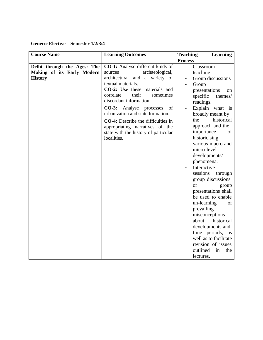**Generic Elective – Semester 1/2/3/4**

| <b>Course Name</b>          | <b>Learning Outcomes</b>                  | <b>Learning</b><br><b>Teaching</b> |
|-----------------------------|-------------------------------------------|------------------------------------|
|                             |                                           | <b>Process</b>                     |
| Delhi through the Ages: The | CO-1: Analyse different kinds of          | Classroom<br>$\blacksquare$        |
| Making of its Early Modern  | archaeological,<br>sources                | teaching                           |
| <b>History</b>              | architectural and a variety of            | Group discussions                  |
|                             | textual materials.                        | Group                              |
|                             | CO-2: Use these materials and             | presentations<br><sub>on</sub>     |
|                             | correlate<br>their<br>sometimes           | specific<br>themes/                |
|                             | discordant information.                   | readings.                          |
|                             | $CO-3:$<br>Analyse processes<br>οf        | Explain what is                    |
|                             | urbanization and state formation.         | broadly meant by                   |
|                             | <b>CO-4:</b> Describe the difficulties in | historical<br>the                  |
|                             | appropriating narratives of the           | approach and the                   |
|                             | state with the history of particular      | importance<br>of                   |
|                             | localities.                               | historicising                      |
|                             |                                           | various macro and                  |
|                             |                                           | micro-level                        |
|                             |                                           | developments/                      |
|                             |                                           | phenomena.                         |
|                             |                                           | Interactive                        |
|                             |                                           | sessions<br>through                |
|                             |                                           | group discussions                  |
|                             |                                           | <sub>or</sub><br>group             |
|                             |                                           | presentations shall                |
|                             |                                           | be used to enable                  |
|                             |                                           | un-learning<br>of                  |
|                             |                                           | prevailing                         |
|                             |                                           | misconceptions                     |
|                             |                                           | historical<br>about                |
|                             |                                           | developments and                   |
|                             |                                           | time periods, as                   |
|                             |                                           | well as to facilitate              |
|                             |                                           | revision of issues                 |
|                             |                                           | outlined<br>in<br>the              |
|                             |                                           |                                    |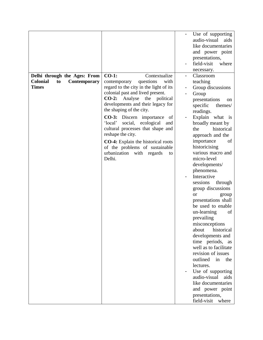|                                              |                                           | Use of supporting     |
|----------------------------------------------|-------------------------------------------|-----------------------|
|                                              |                                           | audio-visual<br>aids  |
|                                              |                                           | like documentaries    |
|                                              |                                           | and power point       |
|                                              |                                           | presentations,        |
|                                              |                                           | field-visit<br>where  |
|                                              |                                           | necessary.            |
| Delhi through the Ages: From                 | $CO-1$ :<br>Contextualize                 | Classroom             |
| <b>Colonial</b><br><b>Contemporary</b><br>to | questions<br>contemporary<br>with         | teaching              |
| <b>Times</b>                                 | regard to the city in the light of its    | Group discussions     |
|                                              | colonial past and lived present.          | Group                 |
|                                              | $CO-2$ :<br>Analyse<br>the<br>political   | presentations<br>on   |
|                                              | developments and their legacy for         | specific<br>themes/   |
|                                              | the shaping of the city.                  | readings.             |
|                                              | <b>CO-3:</b> Discern importance<br>- of   | Explain what is       |
|                                              | 'local'<br>social,<br>ecological<br>and   | broadly meant by      |
|                                              | cultural processes that shape and         | historical<br>the     |
|                                              | reshape the city.                         | approach and the      |
|                                              | <b>CO-4:</b> Explain the historical roots | importance<br>of      |
|                                              | of the problems of sustainable            | historicising         |
|                                              | urbanization with regards<br>to           | various macro and     |
|                                              | Delhi.                                    | micro-level           |
|                                              |                                           | developments/         |
|                                              |                                           | phenomena.            |
|                                              |                                           | Interactive           |
|                                              |                                           | sessions<br>through   |
|                                              |                                           | group discussions     |
|                                              |                                           | <b>or</b><br>group    |
|                                              |                                           | presentations shall   |
|                                              |                                           | be used to enable     |
|                                              |                                           | un-learning<br>of     |
|                                              |                                           | prevailing            |
|                                              |                                           | misconceptions        |
|                                              |                                           | historical<br>about   |
|                                              |                                           | developments and      |
|                                              |                                           | time periods, as      |
|                                              |                                           | well as to facilitate |
|                                              |                                           | revision of issues    |
|                                              |                                           | outlined in<br>the    |
|                                              |                                           | lectures.             |
|                                              |                                           | Use of supporting     |
|                                              |                                           | audio-visual<br>aids  |
|                                              |                                           | like documentaries    |
|                                              |                                           | and power point       |
|                                              |                                           | presentations,        |
|                                              |                                           | field-visit<br>where  |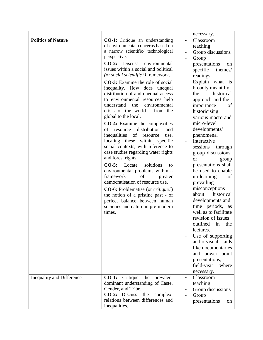|                           |                                                                      | necessary.            |
|---------------------------|----------------------------------------------------------------------|-----------------------|
| <b>Politics of Nature</b> | <b>CO-1:</b> Critique an understanding                               | Classroom             |
|                           | of environmental concerns based on                                   | teaching              |
|                           | a narrow scientific/ technological                                   | Group discussions     |
|                           | perspective.                                                         | Group                 |
|                           | $CO-2$ : Discuss<br>environmental                                    | presentations<br>on   |
|                           | issues within a social and political                                 | specific<br>themes/   |
|                           | (or social scientific?) framework.                                   | readings.             |
|                           | <b>CO-3:</b> Examine the role of social                              | Explain what is       |
|                           | inequality. How does unequal                                         | broadly meant by      |
|                           | distribution of and unequal access                                   | historical<br>the     |
|                           | to environmental resources help                                      | approach and the      |
|                           | understand<br>environmental<br>the                                   | of<br>importance      |
|                           | crisis of the world - from the                                       | historicising         |
|                           | global to the local.                                                 | various macro and     |
|                           | <b>CO-4:</b> Examine the complexities                                | micro-level           |
|                           | distribution<br>of<br>resource<br>and                                | developments/         |
|                           | inequalities of<br>resource<br>use,                                  | phenomena.            |
|                           | locating these within specific                                       | Interactive           |
|                           | social contexts, with reference to                                   | sessions<br>through   |
|                           | case studies regarding water rights                                  | group discussions     |
|                           | and forest rights.                                                   | <b>or</b><br>group    |
|                           | $CO-5:$<br>Locate<br>solutions<br>to                                 | presentations shall   |
|                           | environmental problems within a                                      | be used to enable     |
|                           | framework<br>of<br>greater                                           | un-learning<br>of     |
|                           | democratisation of resource use.                                     | prevailing            |
|                           | <b>CO-6:</b> Problematise (or <i>critique?</i> )                     | misconceptions        |
|                           | the notion of a pristine past - of                                   | about<br>historical   |
|                           | perfect balance between human                                        | developments and      |
|                           | societies and nature in pre-modern                                   | time periods, as      |
|                           | times.                                                               | well as to facilitate |
|                           |                                                                      | revision of issues    |
|                           |                                                                      | outlined in the       |
|                           |                                                                      | lectures.             |
|                           |                                                                      | Use of supporting     |
|                           |                                                                      | audio-visual<br>aids  |
|                           |                                                                      | like documentaries    |
|                           |                                                                      | and power point       |
|                           |                                                                      | presentations,        |
|                           |                                                                      | field-visit<br>where  |
|                           |                                                                      | necessary.            |
| Inequality and Difference | CO-1: Critique<br>the prevalent                                      | Classroom             |
|                           | dominant understanding of Caste,                                     | teaching              |
|                           | Gender, and Tribe.                                                   | Group discussions     |
|                           | CO-2: Discuss<br>the<br>complex<br>relations between differences and | Group                 |
|                           | inequalities.                                                        | presentations<br>on   |
|                           |                                                                      |                       |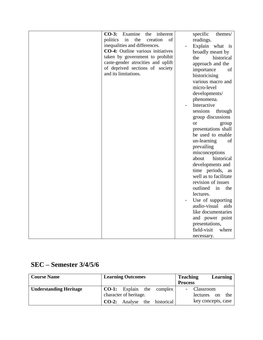| Examine<br>$CO-3:$<br>the<br>inherent    | specific<br>themes/                |
|------------------------------------------|------------------------------------|
| the<br>of<br>politics<br>in<br>creation  | readings.                          |
| inequalities and differences.            | Explain what is                    |
| <b>CO-4:</b> Outline various initiatives | broadly meant by                   |
| taken by government to prohibit          | historical<br>the                  |
| caste-gender atrocities and uplift       | approach and the                   |
| of deprived sections of society          | of                                 |
| and its limitations.                     | importance                         |
|                                          | historicising<br>various macro and |
|                                          | micro-level                        |
|                                          |                                    |
|                                          | developments/                      |
|                                          | phenomena.                         |
|                                          | Interactive                        |
|                                          | sessions<br>through                |
|                                          | group discussions                  |
|                                          | <sub>or</sub><br>group             |
|                                          | presentations shall                |
|                                          | be used to enable                  |
|                                          | un-learning<br>of                  |
|                                          | prevailing                         |
|                                          | misconceptions                     |
|                                          | about<br>historical                |
|                                          | developments and                   |
|                                          | time periods, as                   |
|                                          | well as to facilitate              |
|                                          | revision of issues                 |
|                                          | outlined<br>in<br>the              |
|                                          | lectures.                          |
|                                          | Use of supporting                  |
|                                          | audio-visual<br>aids               |
|                                          | like documentaries                 |
|                                          | and power point                    |
|                                          | presentations,                     |
|                                          |                                    |
|                                          |                                    |
|                                          | field-visit<br>where<br>necessary. |

# **SEC – Semester 3/4/5/6**

| <b>Course Name</b>            | <b>Learning Outcomes</b> |                                     | <b>Teaching</b><br><b>Process</b> |                    | Learning |     |
|-------------------------------|--------------------------|-------------------------------------|-----------------------------------|--------------------|----------|-----|
| <b>Understanding Heritage</b> |                          | <b>CO-1:</b> Explain the complex    |                                   | Classroom          |          |     |
|                               | character of heritage.   |                                     |                                   | lectures on        |          | the |
|                               |                          | <b>CO-2:</b> Analyse the historical |                                   | key concepts, case |          |     |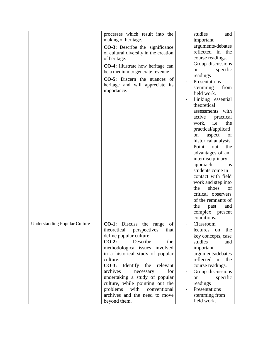|                                      | processes which result into the<br>making of heritage.                                          | studies<br>and<br>important                                       |
|--------------------------------------|-------------------------------------------------------------------------------------------------|-------------------------------------------------------------------|
|                                      | <b>CO-3:</b> Describe the significance<br>of cultural diversity in the creation<br>of heritage. | arguments/debates<br>reflected in the<br>course readings.         |
|                                      | <b>CO-4:</b> Illustrate how heritage can<br>be a medium to generate revenue                     | Group discussions<br>specific<br>on<br>readings                   |
|                                      | <b>CO-5:</b> Discern the nuances of<br>heritage and will appreciate its<br>importance.          | Presentations<br>stemming<br>from<br>field work.                  |
|                                      |                                                                                                 | Linking essential<br>theoretical                                  |
|                                      |                                                                                                 | assessments with<br>practical<br>active<br>i.e.<br>the<br>work,   |
|                                      |                                                                                                 | practical/applicati<br>aspect<br>of<br>on<br>historical analysis. |
|                                      |                                                                                                 | Point<br>the<br>out<br>advantages of an                           |
|                                      |                                                                                                 | interdisciplinary<br>approach<br>as<br>students come in           |
|                                      |                                                                                                 | contact with field<br>work and step into<br>shoes<br>of<br>the    |
|                                      |                                                                                                 | critical observers<br>of the remnants of                          |
|                                      |                                                                                                 | the<br>past<br>and<br>complex<br>present<br>conditions.           |
| <b>Understanding Popular Culture</b> | <b>CO-1:</b> Discuss the range<br>of                                                            | Classroom                                                         |
|                                      | theoretical<br>perspectives<br>that<br>define popular culture.                                  | the<br>lectures<br>on<br>key concepts, case                       |
|                                      | $CO-2$ :<br>Describe<br>the<br>methodological issues involved                                   | studies<br>and<br>important                                       |
|                                      | in a historical study of popular<br>culture.                                                    | arguments/debates<br>reflected in<br>the                          |
|                                      | CO-3: Identify the<br>relevant<br>archives<br>for<br>necessary                                  | course readings.<br>Group discussions                             |
|                                      | undertaking a study of popular<br>culture, while pointing out the                               | specific<br>on<br>readings                                        |
|                                      | with<br>problems<br>conventional                                                                | Presentations                                                     |
|                                      | archives and the need to move<br>beyond them.                                                   | stemming from<br>field work.                                      |